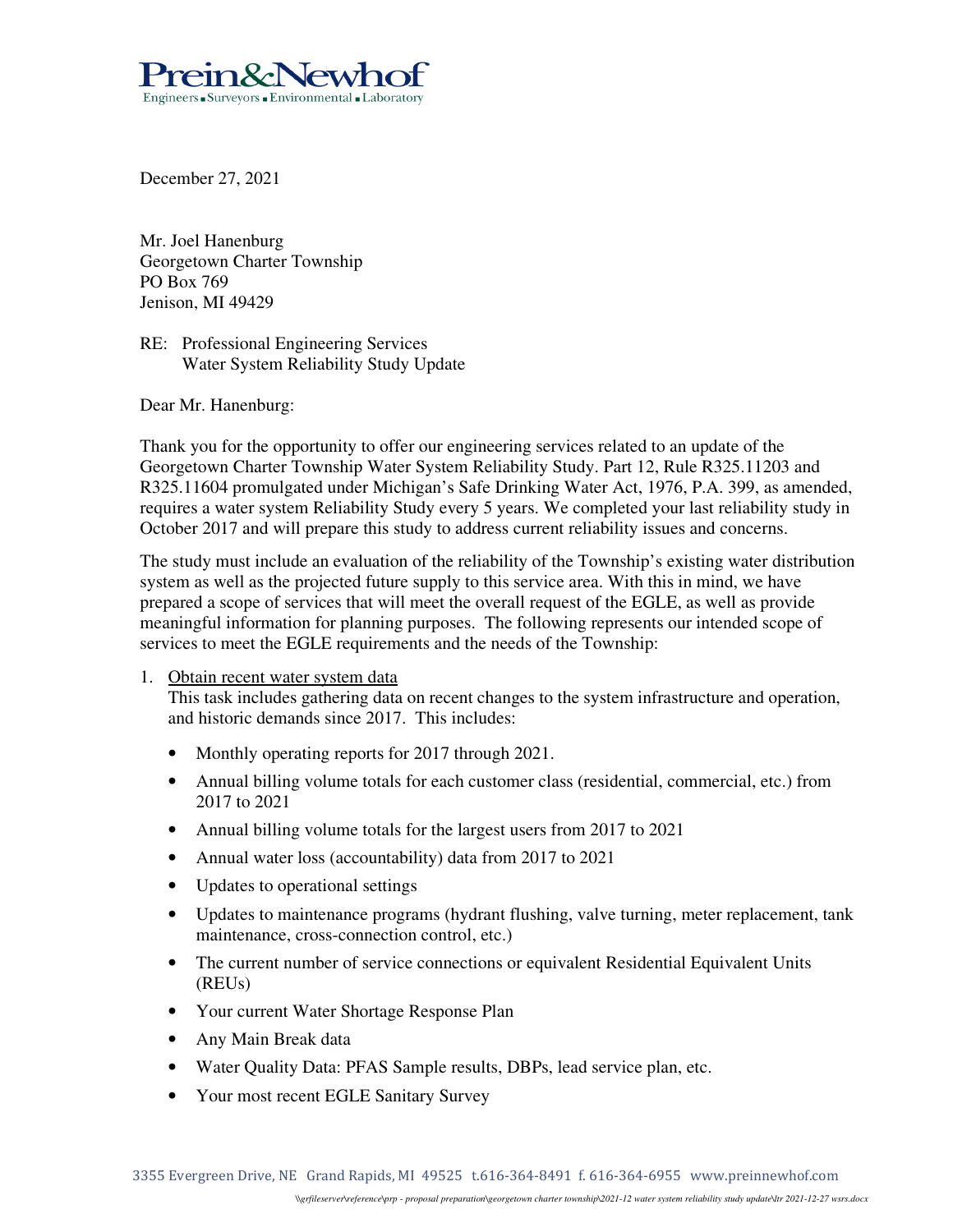

December 27, 2021

Mr. Joel Hanenburg Georgetown Charter Township PO Box 769 Jenison, MI 49429

RE: Professional Engineering Services Water System Reliability Study Update

Dear Mr. Hanenburg:

Thank you for the opportunity to offer our engineering services related to an update of the Georgetown Charter Township Water System Reliability Study. Part 12, Rule R325.11203 and R325.11604 promulgated under Michigan's Safe Drinking Water Act, 1976, P.A. 399, as amended, requires a water system Reliability Study every 5 years. We completed your last reliability study in October 2017 and will prepare this study to address current reliability issues and concerns.

The study must include an evaluation of the reliability of the Township's existing water distribution system as well as the projected future supply to this service area. With this in mind, we have prepared a scope of services that will meet the overall request of the EGLE, as well as provide meaningful information for planning purposes. The following represents our intended scope of services to meet the EGLE requirements and the needs of the Township:

# 1. Obtain recent water system data

This task includes gathering data on recent changes to the system infrastructure and operation, and historic demands since 2017. This includes:

- Monthly operating reports for 2017 through 2021.
- Annual billing volume totals for each customer class (residential, commercial, etc.) from 2017 to 2021
- Annual billing volume totals for the largest users from 2017 to 2021
- Annual water loss (accountability) data from 2017 to 2021
- Updates to operational settings
- Updates to maintenance programs (hydrant flushing, valve turning, meter replacement, tank maintenance, cross-connection control, etc.)
- The current number of service connections or equivalent Residential Equivalent Units (REUs)
- Your current Water Shortage Response Plan
- Any Main Break data
- Water Quality Data: PFAS Sample results, DBPs, lead service plan, etc.
- Your most recent EGLE Sanitary Survey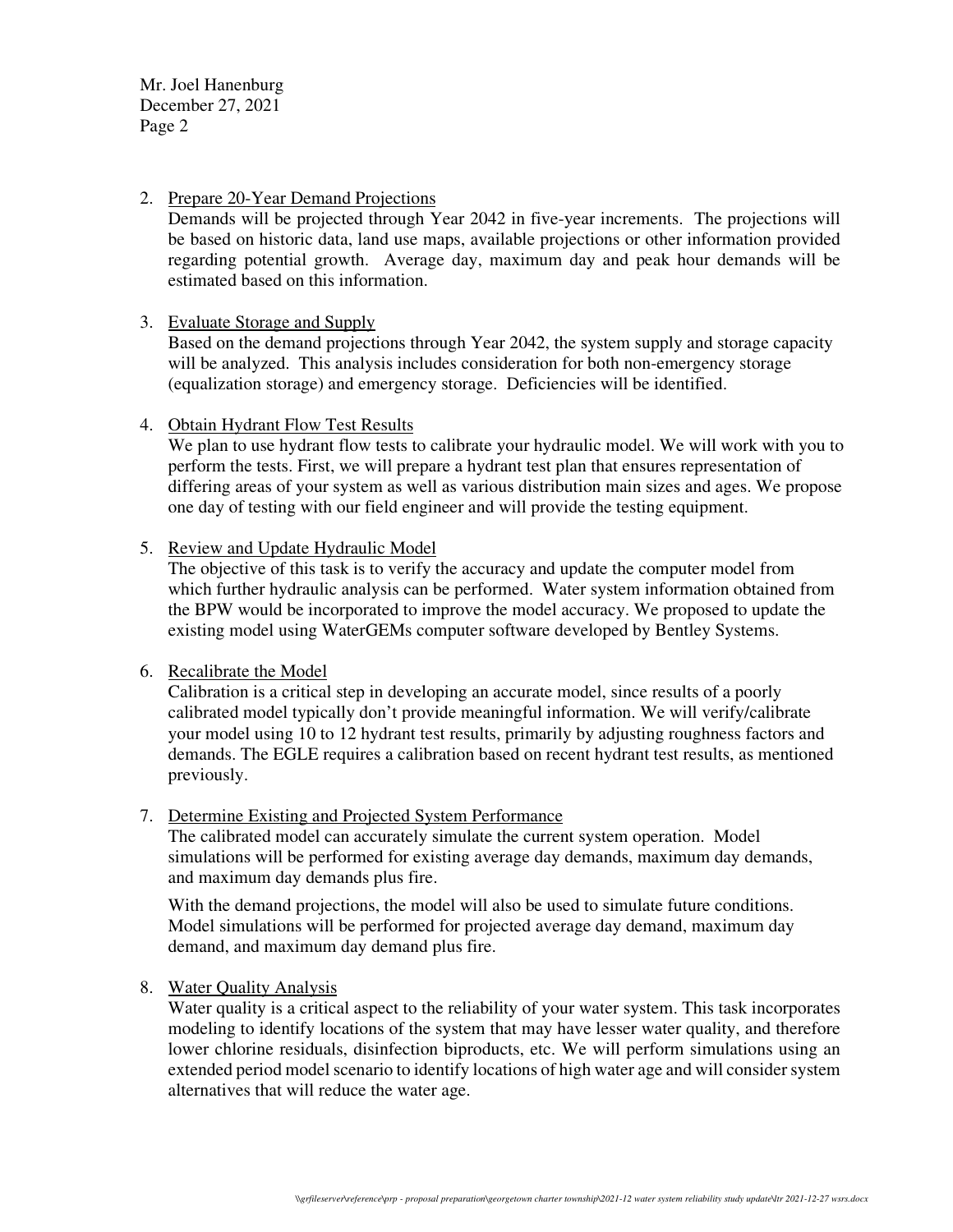Mr. Joel Hanenburg December 27, 2021 Page 2

# 2. Prepare 20-Year Demand Projections

Demands will be projected through Year 2042 in five-year increments. The projections will be based on historic data, land use maps, available projections or other information provided regarding potential growth. Average day, maximum day and peak hour demands will be estimated based on this information.

# 3. Evaluate Storage and Supply

Based on the demand projections through Year 2042, the system supply and storage capacity will be analyzed. This analysis includes consideration for both non-emergency storage (equalization storage) and emergency storage. Deficiencies will be identified.

# 4. Obtain Hydrant Flow Test Results

We plan to use hydrant flow tests to calibrate your hydraulic model. We will work with you to perform the tests. First, we will prepare a hydrant test plan that ensures representation of differing areas of your system as well as various distribution main sizes and ages. We propose one day of testing with our field engineer and will provide the testing equipment.

# 5. Review and Update Hydraulic Model

The objective of this task is to verify the accuracy and update the computer model from which further hydraulic analysis can be performed. Water system information obtained from the BPW would be incorporated to improve the model accuracy. We proposed to update the existing model using WaterGEMs computer software developed by Bentley Systems.

# 6. Recalibrate the Model

Calibration is a critical step in developing an accurate model, since results of a poorly calibrated model typically don't provide meaningful information. We will verify/calibrate your model using 10 to 12 hydrant test results, primarily by adjusting roughness factors and demands. The EGLE requires a calibration based on recent hydrant test results, as mentioned previously.

# 7. Determine Existing and Projected System Performance

The calibrated model can accurately simulate the current system operation. Model simulations will be performed for existing average day demands, maximum day demands, and maximum day demands plus fire.

With the demand projections, the model will also be used to simulate future conditions. Model simulations will be performed for projected average day demand, maximum day demand, and maximum day demand plus fire.

# 8. Water Quality Analysis

Water quality is a critical aspect to the reliability of your water system. This task incorporates modeling to identify locations of the system that may have lesser water quality, and therefore lower chlorine residuals, disinfection biproducts, etc. We will perform simulations using an extended period model scenario to identify locations of high water age and will consider system alternatives that will reduce the water age.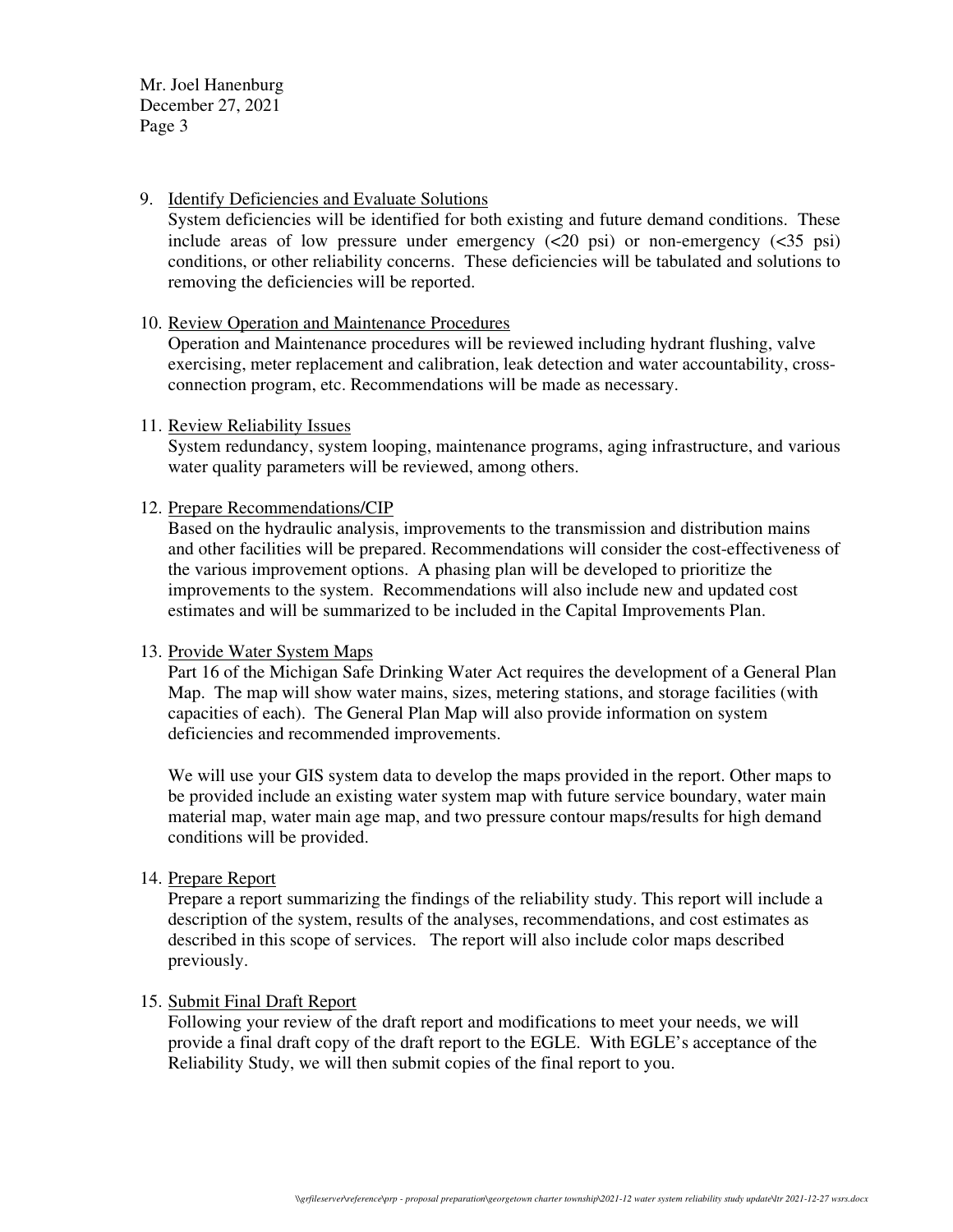Mr. Joel Hanenburg December 27, 2021 Page 3

#### 9. Identify Deficiencies and Evaluate Solutions

System deficiencies will be identified for both existing and future demand conditions. These include areas of low pressure under emergency  $(\leq 20 \text{ psi})$  or non-emergency  $(\leq 35 \text{ psi})$ conditions, or other reliability concerns. These deficiencies will be tabulated and solutions to removing the deficiencies will be reported.

# 10. Review Operation and Maintenance Procedures

Operation and Maintenance procedures will be reviewed including hydrant flushing, valve exercising, meter replacement and calibration, leak detection and water accountability, crossconnection program, etc. Recommendations will be made as necessary.

# 11. Review Reliability Issues

System redundancy, system looping, maintenance programs, aging infrastructure, and various water quality parameters will be reviewed, among others.

# 12. Prepare Recommendations/CIP

Based on the hydraulic analysis, improvements to the transmission and distribution mains and other facilities will be prepared. Recommendations will consider the cost-effectiveness of the various improvement options. A phasing plan will be developed to prioritize the improvements to the system. Recommendations will also include new and updated cost estimates and will be summarized to be included in the Capital Improvements Plan.

# 13. Provide Water System Maps

Part 16 of the Michigan Safe Drinking Water Act requires the development of a General Plan Map. The map will show water mains, sizes, metering stations, and storage facilities (with capacities of each). The General Plan Map will also provide information on system deficiencies and recommended improvements.

We will use your GIS system data to develop the maps provided in the report. Other maps to be provided include an existing water system map with future service boundary, water main material map, water main age map, and two pressure contour maps/results for high demand conditions will be provided.

# 14. Prepare Report

Prepare a report summarizing the findings of the reliability study. This report will include a description of the system, results of the analyses, recommendations, and cost estimates as described in this scope of services. The report will also include color maps described previously.

# 15. Submit Final Draft Report

Following your review of the draft report and modifications to meet your needs, we will provide a final draft copy of the draft report to the EGLE. With EGLE's acceptance of the Reliability Study, we will then submit copies of the final report to you.